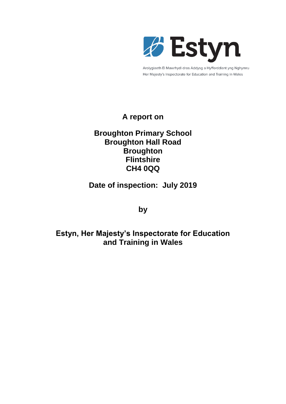

Arolygiaeth Ei Mawrhydi dros Addysg a Hyfforddiant yng Nghymru Her Majesty's Inspectorate for Education and Training in Wales

## **A report on**

## **Broughton Primary School Broughton Hall Road Broughton Flintshire CH4 0QQ**

**Date of inspection: July 2019**

**by**

# **Estyn, Her Majesty's Inspectorate for Education and Training in Wales**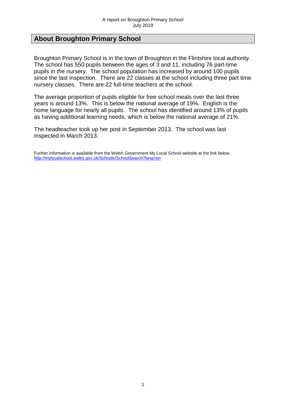## **About Broughton Primary School**

Broughton Primary School is in the town of Broughton in the Flintshire local authority. The school has 550 pupils between the ages of 3 and 11, including 76 part-time pupils in the nursery. The school population has increased by around 100 pupils since the last inspection. There are 22 classes at the school including three part time nursery classes. There are 22 full-time teachers at the school.

The average proportion of pupils eligible for free school meals over the last three years is around 13%. This is below the national average of 19%. English is the home language for nearly all pupils. The school has identified around 13% of pupils as having additional learning needs, which is below the national average of 21%.

The headteacher took up her post in September 2013. The school was last inspected in March 2013.

Further information is available from the Welsh Government My Local School website at the link below. <http://mylocalschool.wales.gov.uk/Schools/SchoolSearch?lang=en>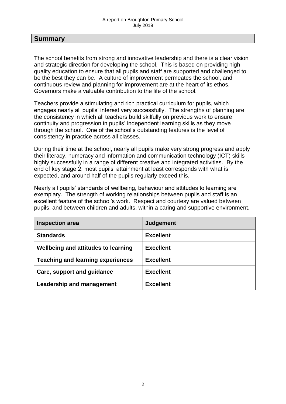## **Summary**

The school benefits from strong and innovative leadership and there is a clear vision and strategic direction for developing the school. This is based on providing high quality education to ensure that all pupils and staff are supported and challenged to be the best they can be. A culture of improvement permeates the school, and continuous review and planning for improvement are at the heart of its ethos. Governors make a valuable contribution to the life of the school.

Teachers provide a stimulating and rich practical curriculum for pupils, which engages nearly all pupils' interest very successfully. The strengths of planning are the consistency in which all teachers build skilfully on previous work to ensure continuity and progression in pupils' independent learning skills as they move through the school. One of the school's outstanding features is the level of consistency in practice across all classes.

During their time at the school, nearly all pupils make very strong progress and apply their literacy, numeracy and information and communication technology (ICT) skills highly successfully in a range of different creative and integrated activities. By the end of key stage 2, most pupils' attainment at least corresponds with what is expected, and around half of the pupils regularly exceed this.

Nearly all pupils' standards of wellbeing, behaviour and attitudes to learning are exemplary. The strength of working relationships between pupils and staff is an excellent feature of the school's work. Respect and courtesy are valued between pupils, and between children and adults, within a caring and supportive environment.

| <b>Inspection area</b>                   | Judgement        |
|------------------------------------------|------------------|
| <b>Standards</b>                         | <b>Excellent</b> |
| Wellbeing and attitudes to learning      | <b>Excellent</b> |
| <b>Teaching and learning experiences</b> | <b>Excellent</b> |
| Care, support and guidance               | <b>Excellent</b> |
| <b>Leadership and management</b>         | <b>Excellent</b> |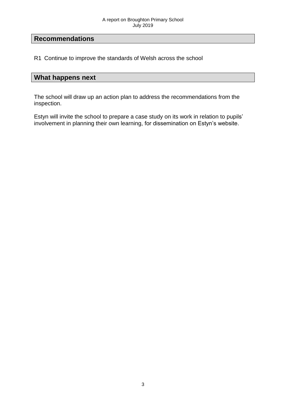## **Recommendations**

R1 Continue to improve the standards of Welsh across the school

## **What happens next**

The school will draw up an action plan to address the recommendations from the inspection.

Estyn will invite the school to prepare a case study on its work in relation to pupils' involvement in planning their own learning, for dissemination on Estyn's website.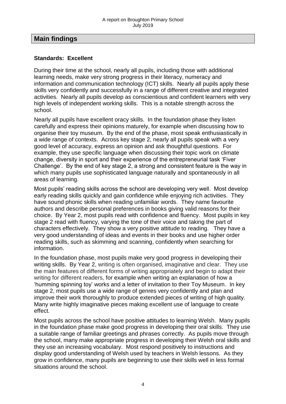## **Main findings**

### **Standards: Excellent**

During their time at the school, nearly all pupils, including those with additional learning needs, make very strong progress in their literacy, numeracy and information and communication technology (ICT) skills. Nearly all pupils apply these skills very confidently and successfully in a range of different creative and integrated activities. Nearly all pupils develop as conscientious and confident learners with very high levels of independent working skills. This is a notable strength across the school.

Nearly all pupils have excellent oracy skills. In the foundation phase they listen carefully and express their opinions maturely, for example when discussing how to organise their toy museum. By the end of the phase, most speak enthusiastically in a wide range of contexts. Across key stage 2, nearly all pupils speak with a very good level of accuracy, express an opinion and ask thoughtful questions. For example, they use specific language when discussing their topic work on climate change, diversity in sport and their experience of the entrepreneurial task 'Fiver Challenge'. By the end of key stage 2, a strong and consistent feature is the way in which many pupils use sophisticated language naturally and spontaneously in all areas of learning.

Most pupils' reading skills across the school are developing very well. Most develop early reading skills quickly and gain confidence while enjoying rich activities. They have sound phonic skills when reading unfamiliar words. They name favourite authors and describe personal preferences in books giving valid reasons for their choice. By Year 2, most pupils read with confidence and fluency. Most pupils in key stage 2 read with fluency, varying the tone of their voice and taking the part of characters effectively. They show a very positive attitude to reading. They have a very good understanding of ideas and events in their books and use higher order reading skills, such as skimming and scanning, confidently when searching for information.

In the foundation phase, most pupils make very good progress in developing their writing skills. By Year 2, writing is often organised, imaginative and clear. They use the main features of different forms of writing appropriately and begin to adapt their writing for different readers, for example when writing an explanation of how a 'humming spinning toy' works and a letter of invitation to their Toy Museum. In key stage 2, most pupils use a wide range of genres very confidently and plan and improve their work thoroughly to produce extended pieces of writing of high quality. Many write highly imaginative pieces making excellent use of language to create effect.

Most pupils across the school have positive attitudes to learning Welsh. Many pupils in the foundation phase make good progress in developing their oral skills. They use a suitable range of familiar greetings and phrases correctly. As pupils move through the school, many make appropriate progress in developing their Welsh oral skills and they use an increasing vocabulary. Most respond positively to instructions and display good understanding of Welsh used by teachers in Welsh lessons. As they grow in confidence, many pupils are beginning to use their skills well in less formal situations around the school.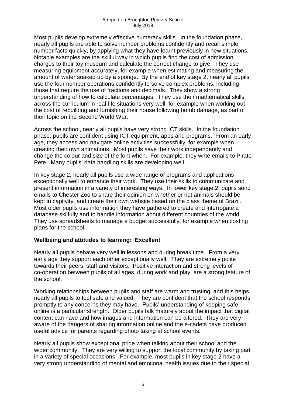Most pupils develop extremely effective numeracy skills. In the foundation phase, nearly all pupils are able to solve number problems confidently and recall simple number facts quickly, by applying what they have learnt previously in new situations. Notable examples are the skilful way in which pupils find the cost of admission charges to their toy museum and calculate the correct change to give. They use measuring equipment accurately, for example when estimating and measuring the amount of water soaked up by a sponge. By the end of key stage 2, nearly all pupils use the four number operations confidently to solve complex problems, including those that require the use of fractions and decimals. They show a strong understanding of how to calculate percentages. They use their mathematical skills across the curriculum in real-life situations very well, for example when working out the cost of rebuilding and furnishing their house following bomb damage, as part of their topic on the Second World War.

Across the school, nearly all pupils have very strong ICT skills. In the foundation phase, pupils are confident using ICT equipment, apps and programs. From an early age, they access and navigate online activities successfully, for example when creating their own animations. Most pupils save their work independently and change the colour and size of the font when. For example, they write emails to Pirate Pete. Many pupils' data handling skills are developing well.

In key stage 2, nearly all pupils use a wide range of programs and applications exceptionally well to enhance their work. They use their skills to communicate and present information in a variety of interesting ways. In lower key stage 2, pupils send emails to Chester Zoo to share their opinion on whether or not animals should be kept in captivity, and create their own website based on the class theme of Brazil. Most older pupils use information they have gathered to create and interrogate a database skilfully and to handle information about different countries of the world. They use spreadsheets to manage a budget successfully, for example when costing plans for the school.

## **Wellbeing and attitudes to learning: Excellent**

Nearly all pupils behave very well in lessons and during break time. From a very early age they support each other exceptionally well. They are extremely polite towards their peers, staff and visitors. Positive interaction and strong levels of co-operation between pupils of all ages, during work and play, are a strong feature of the school.

Working relationships between pupils and staff are warm and trusting, and this helps nearly all pupils to feel safe and valued. They are confident that the school responds promptly to any concerns they may have. Pupils' understanding of keeping safe online is a particular strength. Older pupils talk maturely about the impact that digital content can have and how images and information can be altered. They are very aware of the dangers of sharing information online and the e-cadets have produced useful advice for parents regarding photo taking at school events.

Nearly all pupils show exceptional pride when talking about their school and the wider community. They are very willing to support the local community by taking part in a variety of special occasions. For example, most pupils in key stage 2 have a very strong understanding of mental and emotional health issues due to their special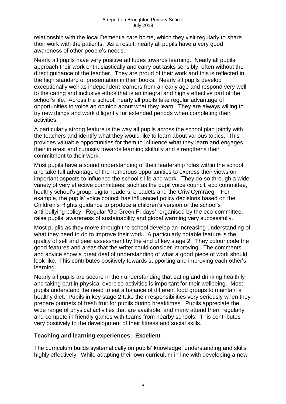relationship with the local Dementia care home, which they visit regularly to share their work with the patients. As a result, nearly all pupils have a very good awareness of other people's needs.

Nearly all pupils have very positive attitudes towards learning. Nearly all pupils approach their work enthusiastically and carry out tasks sensibly, often without the direct guidance of the teacher. They are proud of their work and this is reflected in the high standard of presentation in their books. Nearly all pupils develop exceptionally well as independent learners from an early age and respond very well to the caring and inclusive ethos that is an integral and highly effective part of the school's life. Across the school, nearly all pupils take regular advantage of opportunities to voice an opinion about what they learn. They are always willing to try new things and work diligently for extended periods when completing their activities.

A particularly strong feature is the way all pupils across the school plan jointly with the teachers and identify what they would like to learn about various topics. This provides valuable opportunities for them to influence what they learn and engages their interest and curiosity towards learning skilfully and strengthens their commitment to their work.

Most pupils have a sound understanding of their leadership roles within the school and take full advantage of the numerous opportunities to express their views on important aspects to influence the school's life and work. They do so through a wide variety of very effective committees, such as the pupil voice council, eco committee, healthy school's group, digital leaders, e-cadets and the Criw Cymraeg. For example, the pupils' voice council has influenced policy decisions based on the Children's Rights guidance to produce a children's version of the school's anti-bullying policy. Regular 'Go Green Fridays', organised by the eco-committee, raise pupils' awareness of sustainability and global warming very successfully.

Most pupils as they move through the school develop an increasing understanding of what they need to do to improve their work. A particularly notable feature is the quality of self and peer assessment by the end of key stage 2. They colour code the good features and areas that the writer could consider improving. The comments and advice show a great deal of understanding of what a good piece of work should look like. This contributes positively towards supporting and improving each other's learning.

Nearly all pupils are secure in their understanding that eating and drinking healthily and taking part in physical exercise activities is important for their wellbeing. Most pupils understand the need to eat a balance of different food groups to maintain a healthy diet. Pupils in key stage 2 take their responsibilities very seriously when they prepare punnets of fresh fruit for pupils during breaktimes. Pupils appreciate the wide range of physical activities that are available, and many attend them regularly and compete in friendly games with teams from nearby schools. This contributes very positively to the development of their fitness and social skills.

## **Teaching and learning experiences: Excellent**

The curriculum builds systematically on pupils' knowledge, understanding and skills highly effectively. While adapting their own curriculum in line with developing a new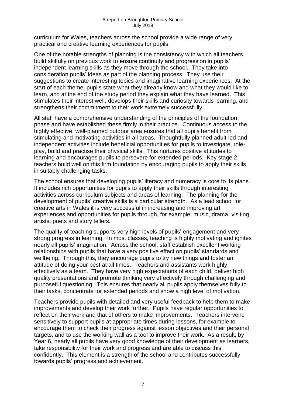curriculum for Wales, teachers across the school provide a wide range of very practical and creative learning experiences for pupils.

One of the notable strengths of planning is the consistency with which all teachers build skilfully on previous work to ensure continuity and progression in pupils' independent learning skills as they move through the school. They take into consideration pupils' ideas as part of the planning process. They use their suggestions to create interesting topics and imaginative learning experiences. At the start of each theme, pupils state what they already know and what they would like to learn, and at the end of the study period they explain what they have learned. This stimulates their interest well, develops their skills and curiosity towards learning, and strengthens their commitment to their work extremely successfully.

All staff have a comprehensive understanding of the principles of the foundation phase and have established these firmly in their practice. Continuous access to the highly effective, well-planned outdoor area ensures that all pupils benefit from stimulating and motivating activities in all areas. Thoughtfully planned adult-led and independent activities include beneficial opportunities for pupils to investigate, roleplay, build and practise their physical skills. This nurtures positive attitudes to learning and encourages pupils to persevere for extended periods. Key stage 2 teachers build well on this firm foundation by encouraging pupils to apply their skills in suitably challenging tasks.

The school ensures that developing pupils' literacy and numeracy is core to its plans. It includes rich opportunities for pupils to apply their skills through interesting activities across curriculum subjects and areas of learning. The planning for the development of pupils' creative skills is a particular strength. As a lead school for creative arts in Wales it is very successful in increasing and improving art experiences and opportunities for pupils through, for example, music, drama, visiting artists, poets and story tellers.

The quality of teaching supports very high levels of pupils' engagement and very strong progress in learning. In most classes, teaching is highly motivating and ignites nearly all pupils' imagination. Across the school, staff establish excellent working relationships with pupils that have a very positive effect on pupils' standards and wellbeing. Through this, they encourage pupils to try new things and foster an attitude of doing your best at all times. Teachers and assistants work highly effectively as a team. They have very high expectations of each child, deliver high quality presentations and promote thinking very effectively through challenging and purposeful questioning. This ensures that nearly all pupils apply themselves fully to their tasks, concentrate for extended periods and show a high level of motivation.

Teachers provide pupils with detailed and very useful feedback to help them to make improvements and develop their work further. Pupils have regular opportunities to reflect on their work and that of others to make improvements. Teachers intervene sensitively to support pupils at appropriate times during lessons, for example to encourage them to check their progress against lesson objectives and their personal targets, and to use the working wall as a tool to improve their work. As a result, by Year 6, nearly all pupils have very good knowledge of their development as learners, take responsibility for their work and progress and are able to discuss this confidently. This element is a strength of the school and contributes successfully towards pupils' progress and achievement.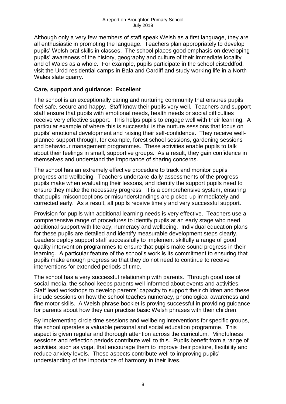Although only a very few members of staff speak Welsh as a first language, they are all enthusiastic in promoting the language. Teachers plan appropriately to develop pupils' Welsh oral skills in classes. The school places good emphasis on developing pupils' awareness of the history, geography and culture of their immediate locality and of Wales as a whole. For example, pupils participate in the school eisteddfod, visit the Urdd residential camps in Bala and Cardiff and study working life in a North Wales slate quarry.

## **Care, support and guidance: Excellent**

The school is an exceptionally caring and nurturing community that ensures pupils feel safe, secure and happy. Staff know their pupils very well. Teachers and support staff ensure that pupils with emotional needs, health needs or social difficulties receive very effective support. This helps pupils to engage well with their learning. A particular example of where this is successful is the nurture sessions that focus on pupils' emotional development and raising their self-confidence. They receive wellplanned support through, for example, forest school sessions, gardening sessions and behaviour management programmes. These activities enable pupils to talk about their feelings in small, supportive groups. As a result, they gain confidence in themselves and understand the importance of sharing concerns.

The school has an extremely effective procedure to track and monitor pupils' progress and wellbeing. Teachers undertake daily assessments of the progress pupils make when evaluating their lessons, and identify the support pupils need to ensure they make the necessary progress. It is a comprehensive system, ensuring that pupils' misconceptions or misunderstandings are picked up immediately and corrected early. As a result, all pupils receive timely and very successful support.

Provision for pupils with additional learning needs is very effective. Teachers use a comprehensive range of procedures to identify pupils at an early stage who need additional support with literacy, numeracy and wellbeing. Individual education plans for these pupils are detailed and identify measurable development steps clearly. Leaders deploy support staff successfully to implement skilfully a range of good quality intervention programmes to ensure that pupils make sound progress in their learning. A particular feature of the school's work is its commitment to ensuring that pupils make enough progress so that they do not need to continue to receive interventions for extended periods of time.

The school has a very successful relationship with parents. Through good use of social media, the school keeps parents well informed about events and activities. Staff lead workshops to develop parents' capacity to support their children and these include sessions on how the school teaches numeracy, phonological awareness and fine motor skills. A Welsh phrase booklet is proving successful in providing guidance for parents about how they can practise basic Welsh phrases with their children.

By implementing circle time sessions and wellbeing interventions for specific groups, the school operates a valuable personal and social education programme. This aspect is given regular and thorough attention across the curriculum. Mindfulness sessions and reflection periods contribute well to this. Pupils benefit from a range of activities, such as yoga, that encourage them to improve their posture, flexibility and reduce anxiety levels. These aspects contribute well to improving pupils' understanding of the importance of harmony in their lives.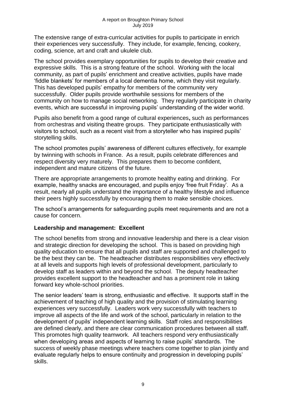The extensive range of extra-curricular activities for pupils to participate in enrich their experiences very successfully. They include, for example, fencing, cookery, coding, science, art and craft and ukulele club.

The school provides exemplary opportunities for pupils to develop their creative and expressive skills. This is a strong feature of the school. Working with the local community, as part of pupils' enrichment and creative activities, pupils have made 'fiddle blankets' for members of a local dementia home, which they visit regularly. This has developed pupils' empathy for members of the community very successfully. Older pupils provide worthwhile sessions for members of the community on how to manage social networking. They regularly participate in charity events, which are successful in improving pupils' understanding of the wider world.

Pupils also benefit from a good range of cultural experiences**,** such as performances from orchestras and visiting theatre groups. They participate enthusiastically with visitors to school, such as a recent visit from a storyteller who has inspired pupils' storytelling skills.

The school promotes pupils' awareness of different cultures effectively, for example by twinning with schools in France. As a result, pupils celebrate differences and respect diversity very maturely. This prepares them to become confident, independent and mature citizens of the future.

There are appropriate arrangements to promote healthy eating and drinking. For example, healthy snacks are encouraged, and pupils enjoy 'free fruit Friday'. As a result, nearly all pupils understand the importance of a healthy lifestyle and influence their peers highly successfully by encouraging them to make sensible choices.

The school's arrangements for safeguarding pupils meet requirements and are not a cause for concern.

## **Leadership and management: Excellent**

The school benefits from strong and innovative leadership and there is a clear vision and strategic direction for developing the school. This is based on providing high quality education to ensure that all pupils and staff are supported and challenged to be the best they can be. The headteacher distributes responsibilities very effectively at all levels and supports high levels of professional development, particularly to develop staff as leaders within and beyond the school. The deputy headteacher provides excellent support to the headteacher and has a prominent role in taking forward key whole-school priorities.

The senior leaders' team is strong, enthusiastic and effective. It supports staff in the achievement of teaching of high quality and the provision of stimulating learning experiences very successfully. Leaders work very successfully with teachers to improve all aspects of the life and work of the school, particularly in relation to the development of pupils' independent learning skills. Staff roles and responsibilities are defined clearly, and there are clear communication procedures between all staff. This promotes high quality teamwork. All teachers respond very enthusiastically when developing areas and aspects of learning to raise pupils' standards. The success of weekly phase meetings where teachers come together to plan jointly and evaluate regularly helps to ensure continuity and progression in developing pupils' skills.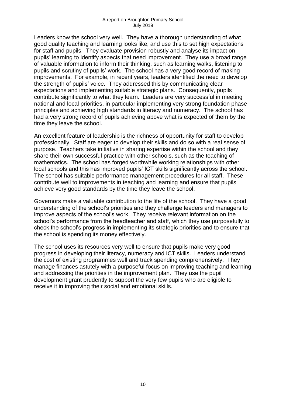Leaders know the school very well. They have a thorough understanding of what good quality teaching and learning looks like, and use this to set high expectations for staff and pupils. They evaluate provision robustly and analyse its impact on pupils' learning to identify aspects that need improvement. They use a broad range of valuable information to inform their thinking, such as learning walks, listening to pupils and scrutiny of pupils' work. The school has a very good record of making improvements. For example, in recent years, leaders identified the need to develop the strength of pupils' voice. They addressed this by communicating clear expectations and implementing suitable strategic plans. Consequently, pupils contribute significantly to what they learn. Leaders are very successful in meeting national and local priorities, in particular implementing very strong foundation phase principles and achieving high standards in literacy and numeracy. The school has had a very strong record of pupils achieving above what is expected of them by the time they leave the school.

An excellent feature of leadership is the richness of opportunity for staff to develop professionally. Staff are eager to develop their skills and do so with a real sense of purpose. Teachers take initiative in sharing expertise within the school and they share their own successful practice with other schools, such as the teaching of mathematics. The school has forged worthwhile working relationships with other local schools and this has improved pupils' ICT skills significantly across the school. The school has suitable performance management procedures for all staff. These contribute well to improvements in teaching and learning and ensure that pupils achieve very good standards by the time they leave the school.

Governors make a valuable contribution to the life of the school. They have a good understanding of the school's priorities and they challenge leaders and managers to improve aspects of the school's work. They receive relevant information on the school's performance from the headteacher and staff, which they use purposefully to check the school's progress in implementing its strategic priorities and to ensure that the school is spending its money effectively.

The school uses its resources very well to ensure that pupils make very good progress in developing their literacy, numeracy and ICT skills. Leaders understand the cost of existing programmes well and track spending comprehensively. They manage finances astutely with a purposeful focus on improving teaching and learning and addressing the priorities in the improvement plan. They use the pupil development grant prudently to support the very few pupils who are eligible to receive it in improving their social and emotional skills.